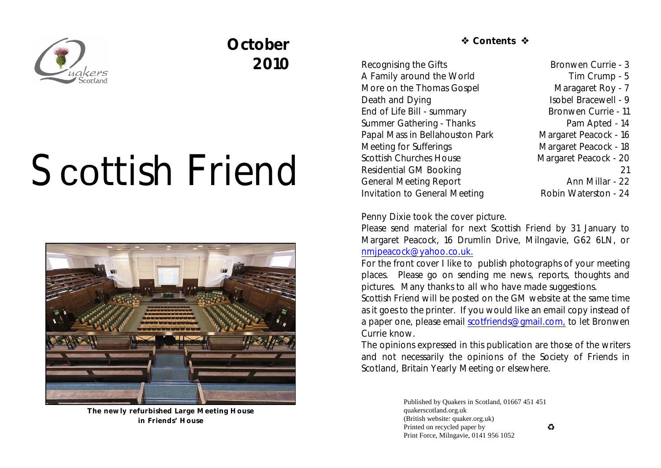

# **October 2010**

# Scottish Friend



**The newly refurbished Large Meeting House in Friends' House**

*S* Contents �

Recognising the Gifts Bronwen Currie - 3 A Family around the World Tim Crump - 5 More on the Thomas Gospel Maragaret Roy - 7 Death and Dying Isobel Bracewell - 9 End of Life Bill - summary Bronwen Currie - 11 Summer Gathering - Thanks Pam Apted - 14 Papal Mass in Bellahouston Park Margaret Peacock - 16 Meeting for Sufferings Margaret Peacock - 18 Scottish Churches House Margaret Peacock - 20 Residential GM Booking 21 General Meeting Report **Ann Millar** - 22 Invitation to General Meeting **Robin Waterston** - 24

### Penny Dixie took the cover picture.

Please send material for next *Scottish Friend* by 31 January to Margaret Peacock, 16 Drumlin Drive, Milngavie, G62 6LN, or [nmjpeacock@yahoo.co.uk.](mailto:nmjpeacock@yahoo.co.uk.)

For the front cover I like to publish photographs of your meeting places. Please go on sending me news, reports, thoughts and pictures. Many thanks to all who have made suggestions.

*Scottish Friend* will be posted on the GM website at the same time as it goes to the printer. If you would like an email copy instead of a paper one, please email [scotfriends@gmail.com,](mailto:scotfriends@aol.com,) to let Bronwen Currie know.

The opinions expressed in this publication are those of the writers and not necessarily the opinions of the Society of Friends in Scotland, Britain Yearly Meeting or elsewhere.

> Published by Quakers in Scotland, 01667 451 451 quakerscotland.org.uk (British website: quaker.org.uk) Printed on recycled paper by Print Force, Milngavie, 0141 956 1052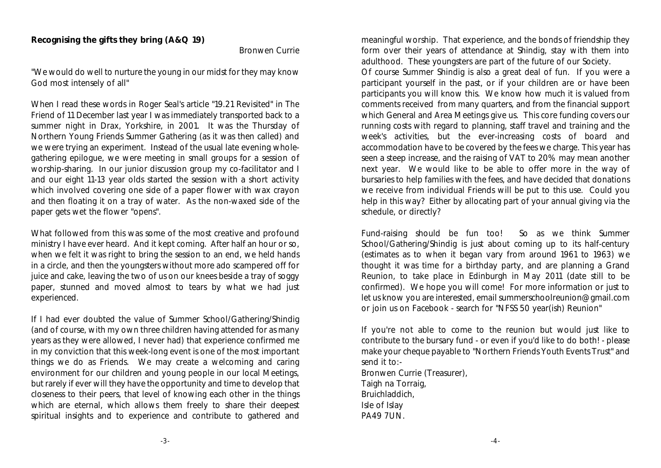#### **Recognising the gifts they bring (A&Q 19)**

Bronwen Currie

"We would do well to nurture the young in our midst for they may know God most intensely of all"

When I read these words in Roger Seal's article "19.21 Revisited" in *The Friend* of 11 December last year I was immediately transported back to a summer night in Drax, Yorkshire, in 2001. It was the Thursday of Northern Young Friends Summer Gathering (as it was then called) and we were trying an experiment. Instead of the usual late evening wholegathering epilogue, we were meeting in small groups for a session of worship-sharing. In our junior discussion group my co-facilitator and I and our eight 11-13 year olds started the session with a short activity which involved covering one side of a paper flower with wax crayon and then floating it on a tray of water. As the non-waxed side of the paper gets wet the flower "opens".

What followed from this was some of the most creative and profound ministry I have ever heard. And it kept coming. After half an hour or so, when we felt it was right to bring the session to an end, we held hands in a circle, and then the youngsters without more ado scampered off for juice and cake, leaving the two of us on our knees beside a tray of soggy paper, stunned and moved almost to tears by what we had just experienced.

If I had ever doubted the value of Summer School/Gathering/Shindig (and of course, with my own three children having attended for as many years as they were allowed, I never had) that experience confirmed me in my conviction that this week-long event is one of the most important things we do as Friends. We may create a welcoming and caring environment for our children and young people in our local Meetings, but rarely if ever will they have the opportunity and time to develop that closeness to their peers, that level of knowing each other in the things which are eternal, which allows them freely to share their deepest spiritual insights and to experience and contribute to gathered and

meaningful worship. That experience, and the bonds of friendship they form over their years of attendance at Shindig, stay with them into adulthood. These youngsters are part of the future of our Society. Of course Summer Shindig is also a great deal of fun. If you were a participant yourself in the past, or if your children are or have been participants you will know this. We know how much it is valued from comments received from many quarters, and from the financial support which General and Area Meetings give us. This core funding covers our running costs with regard to planning, staff travel and training and the week's activities, but the ever-increasing costs of board and accommodation have to be covered by the fees we charge. This year has seen a steep increase, and the raising of VAT to 20% may mean another next year. We would like to be able to offer more in the way of bursaries to help families with the fees, and have decided that donations we receive from individual Friends will be put to this use. Could you help in this way? Either by allocating part of your annual giving via the schedule, or directly?

Fund-raising should be fun too! So as we think Summer School/Gathering/Shindig is just about coming up to its half-century (estimates as to when it began vary from around 1961 to 1963) we thought it was time for a birthday party, and are planning a Grand Reunion, to take place in Edinburgh in May 2011 (date still to be confirmed). We hope you will come! For more information or just to let us know you are interested, email summerschoolreunion@gmail.com or join us on Facebook - search for "NFSS 50 year(ish) Reunion"

If you're not able to come to the reunion but would just like to contribute to the bursary fund - or even if you'd like to do both! - please make your cheque payable to "Northern Friends Youth Events Trust" and send it to:-

Bronwen Currie (Treasurer), Taigh na Torraig, Bruichladdich, Isle of Islay PA49 7UN.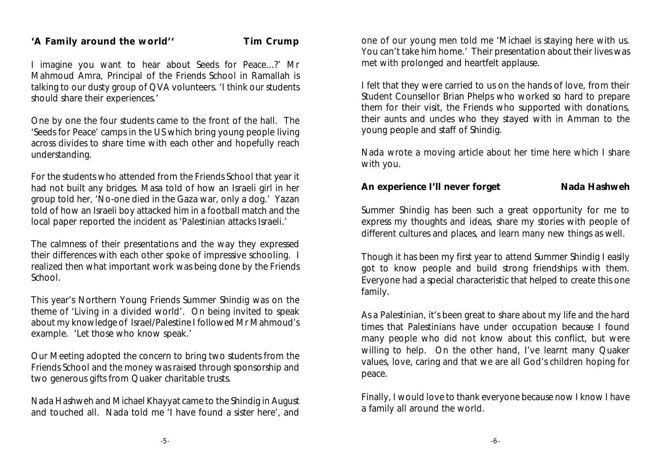#### 'A Family around the world'' Tim Crump

I imagine you want to hear about Seeds for Peace...?' Mr Mahmoud Amra, Principal of the Friends School in Ramallah is talking to our dusty group of QVA volunteers. 'I think our students should share their experiences.'

One by one the four students came to the front of the hall. The 'Seeds for Peace' camps in the US which bring young people living across divides to share time with each other and hopefully reach understanding.

For the students who attended from the Friends School that year it had not built any bridges. Masa told of how an Israeli girl in her group told her, 'No-one died in the Gaza war, only a dog.' Yazan told of how an Israeli boy attacked him in a football match and the local paper reported the incident as 'Palestinian attacks Israeli.'

The calmness of their presentations and the way they expressed their differences with each other spoke of impressive schooling. I realized then what important work was being done by the Friends School.

This year's Northern Young Friends Summer Shindig was on the theme of 'Living in a divided world'. On being invited to speak about my knowledge of Israel/Palestine I followed Mr Mahmoud's example. 'Let those who know speak.'

Our Meeting adopted the concern to bring two students from the Friends School and the money was raised through sponsorship and two generous gifts from Quaker charitable trusts.

Nada Hashweh and Michael Khayyat came to the Shindig in August and touched all. Nada told me 'I have found a sister here', and one of our young men told me 'Michael is staying here with us. You can't take him home.' Their presentation about their lives was met with prolonged and heartfelt applause.

I felt that they were carried to us on the hands of love, from their Student Counsellor Brian Phelps who worked so hard to prepare them for their visit, the Friends who supported with donations, their aunts and uncles who they stayed with in Amman to the young people and staff of Shindig.

Nada wrote a moving article about her time here which I share with you.

**An experience I'll never forget Nada Hashweh**

Summer Shindig has been such a great opportunity for me to express my thoughts and ideas, share my stories with people of different cultures and places, and learn many new things as well.

Though it has been my first year to attend Summer Shindig I easily got to know people and build strong friendships with them. Everyone had a special characteristic that helped to create this one family.

As a Palestinian, it's been great to share about my life and the hard times that Palestinians have under occupation because I found many people who did not know about this conflict, but were willing to help. On the other hand, I've learnt many Quaker values, love, caring and that we are all God's children hoping for peace.

Finally, I would love to thank everyone because now I know I have a family all around the world.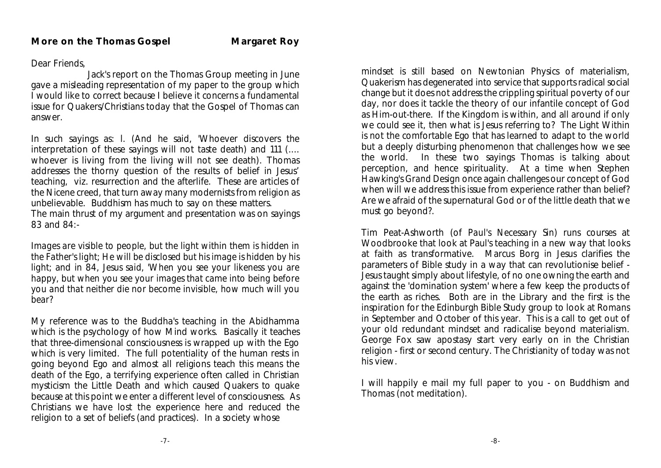#### Dear Friends,

Jack's report on the Thomas Group meeting in June gave a misleading representation of my paper to the group which I would like to correct because I believe it concerns a fundamental issue for Quakers/Christians today that the Gospel of Thomas can answer.

In such sayings as: l. (And he said, 'Whoever discovers the interpretation of these sayings will not taste death) and 111 (.... whoever is living from the living will not see death). Thomas addresses the thorny question of the results of belief in Jesus' teaching, viz. resurrection and the afterlife. These are articles of the Nicene creed, that turn away many modernists from religion as unbelievable. Buddhism has much to say on these matters. The main thrust of my argument and presentation was on sayings 83 and 84:-

*Images are visible to people, but the light within them is hidden in the Father's light; He will be disclosed but his image is hidden by his light;* and in 84, *Jesus said, 'When you see your likeness you are happy, but when you see your images that came into being before you and that neither die nor become invisible, how much will you bear?* 

My reference was to the Buddha's teaching in the Abidhamma which is the psychology of how Mind works. Basically it teaches that three-dimensional consciousness is wrapped up with the Ego which is very limited. The full potentiality of the human rests in going beyond Ego and almost all religions teach this means the death of the Ego, a terrifying experience often called in Christian mysticism the Little Death and which caused Quakers to quake because at this point we enter a different level of consciousness. As Christians we have lost the experience here and reduced the religion to a set of beliefs (and practices). In a society whose

mindset is still based on Newtonian Physics of materialism, Quakerism has degenerated into service that supports radical social change but it does not address the crippling spiritual poverty of our day, nor does it tackle the theory of our infantile concept of God as Him-out-there. If the Kingdom is within, and all around if only we could see it, then what is Jesus referring to? The Light Within is not the comfortable Ego that has learned to adapt to the world but a deeply disturbing phenomenon that challenges how we see the world. In these two sayings Thomas is talking about perception, and hence spirituality. At a time when Stephen Hawking's *Grand Design* once again challenges our concept of God when will we address this issue from experience rather than belief? Are we afraid of the supernatural God or of the little death that we must go beyond?.

Tim Peat-Ashworth (of *Paul's Necessary Sin)* runs courses at Woodbrooke that look at Paul's teaching in a new way that looks at faith as transformative. Marcus Borg in *Jesus* clarifies the parameters of Bible study in a way that can revolutionise belief - Jesus taught simply about lifestyle, of no one owning the earth and against the 'domination system' where a few keep the products of the earth as riches. Both are in the Library and the first is the inspiration for the Edinburgh Bible Study group to look at *Romans* in September and October of this year. This is a call to get out of your old redundant mindset and radicalise beyond materialism. George Fox saw apostasy start very early on in the Christian religion - first or second century. The Christianity of today was not his view.

I will happily e mail my full paper to you - on Buddhism and Thomas (not meditation).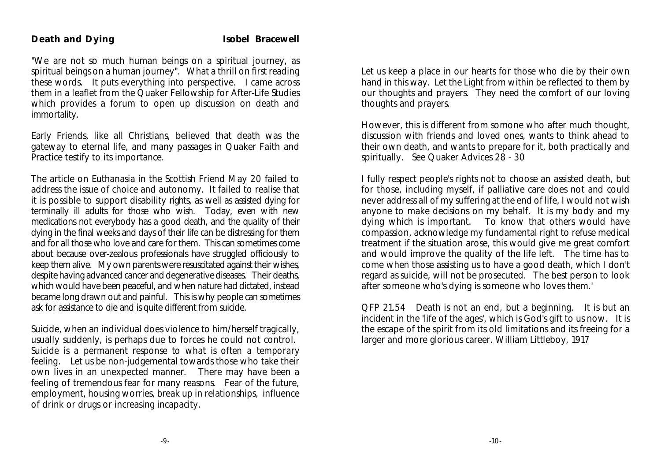"We are not so much human beings on a spiritual journey, as spiritual beings on a human journey". What a thrill on first reading these words. It puts everything into perspective. I came across them in a leaflet from the Quaker Fellowship for After-Life Studies which provides a forum to open up discussion on death and immortality.

Early Friends, like all Christians, believed that death was the gateway to eternal life, and many passages in Quaker Faith and Practice testify to its importance.

The article on Euthanasia in the Scottish Friend May 20 failed to address the issue of choice and autonomy. It failed to realise that it is possible to support disability rights, as well as assisted dying for terminally ill adults for those who wish. Today, even with new medications not everybody has a good death, and the quality of their dying in the final weeks and days of their life can be distressing for them and for all those who love and care for them. This can sometimes come about because over-zealous professionals have struggled officiously to keep them alive. My own parents were resuscitated against their wishes, despite having advanced cancer and degenerative diseases. Their deaths, which would have been peaceful, and when nature had dictated, instead became long drawn out and painful. This is why people can sometimes ask for assistance to die and is quite different from suicide.

Suicide, when an individual does violence to him/herself tragically, usually suddenly, is perhaps due to forces he could not control. *Suicide is a permanent response to what is often a temporary feeling.* Let us be non-judgemental towards those who take their own lives in an unexpected manner. There may have been a feeling of tremendous fear for many reasons. Fear of the future, employment, housing worries, break up in relationships, influence of drink or drugs or increasing incapacity.

Let us keep a place in our hearts for those who die by their own hand in this way. Let the Light from within be reflected to them by our thoughts and prayers. They need the comfort of our loving thoughts and prayers.

However, this is different from somone who after much thought, discussion with friends and loved ones, wants to think ahead to their own death, and wants to prepare for it, both practically and spiritually. See Quaker Advices 28 - 30

I fully respect people's rights not to choose an assisted death, but for those, including myself, *if* palliative care does not and could never address all of my suffering at the end of life, I would not wish anyone to make decisions on my behalf. It is my body and my dying which is important. To know that others would have compassion, acknowledge my fundamental right to refuse medical treatment if the situation arose, this would give me great comfort and would improve the quality of the life left. The time has to come when those assisting us to have a good death, which I don't regard as suicide, will not be prosecuted. The best person to look after someone who's dying is someone who loves them.'

QFP 21.54 Death is not an end, but a beginning. It is but an incident in the 'life of the ages', which is God's gift to us now. It is the escape of the spirit from its old limitations and its freeing for a larger and more glorious career. William Littleboy, 1917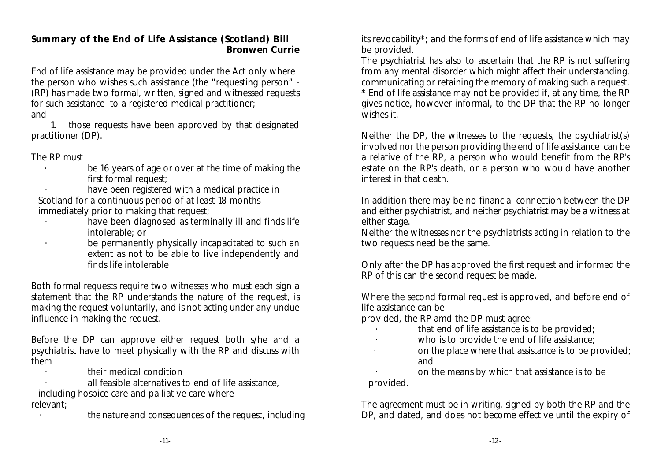**Summary of the End of Life Assistance (Scotland) Bill Bronwen Currie**

End of life assistance may be provided under the Act only where the person who wishes such assistance (the "requesting person" - (RP) has made two formal, written, signed and witnessed requests for such assistance to a registered medical practitioner; and

 1. those requests have been approved by that designated practitioner (DP).

#### The RP must

be 16 years of age or over at the time of making the first formal request:

have been registered with a medical practice in Scotland for a continuous period of at least 18 months immediately prior to making that request;

- have been diagnosed as terminally ill and finds life intolerable; or
- be permanently physically incapacitated to such an extent as not to be able to live independently and finds life intolerable

Both formal requests require two witnesses who must each sign a statement that the RP understands the nature of the request, is making the request voluntarily, and is not acting under any undue influence in making the request.

Before the DP can approve either request both s/he and a psychiatrist have to meet physically with the RP and discuss with them

· their medical condition

all feasible alternatives to end of life assistance.

including hospice care and palliative care where relevant;

· the nature and consequences of the request, including

its revocability\*; and the forms of end of life assistance which may be provided.

The psychiatrist has also to ascertain that the RP is not suffering from any mental disorder which might affect their understanding, communicating or retaining the memory of making such a request. \* End of life assistance may not be provided if, at any time, the RP gives notice, however informal, to the DP that the RP no longer wishes it.

Neither the DP, the witnesses to the requests, the psychiatrist(s) involved nor the person providing the end of life assistance can be a relative of the RP, a person who would benefit from the RP's estate on the RP's death, or a person who would have another interest in that death.

In addition there may be no financial connection between the DP and either psychiatrist, and neither psychiatrist may be a witness at either stage.

Neither the witnesses nor the psychiatrists acting in relation to the two requests need be the same.

Only after the DP has approved the first request and informed the RP of this can the second request be made.

Where the second formal request is approved, and before end of life assistance can be

provided, the RP amd the DP must agree:

- that end of life assistance is to be provided;
- · who is to provide the end of life assistance;
	- · on the place where that assistance is to be provided; and

 · on the means by which that assistance is to be provided.

The agreement must be in writing, signed by both the RP and the DP, and dated, and does not become effective until the expiry of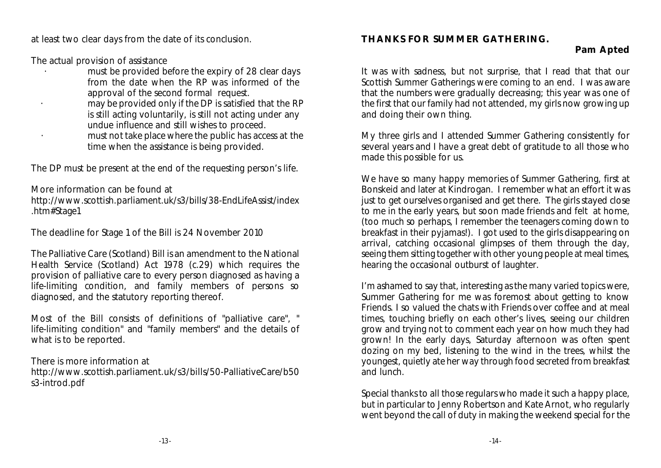at least two clear days from the date of its conclusion.

The actual provision of assistance

- must be provided before the expiry of 28 clear days from the date when the RP was informed of the approval of the second formal request.
- may be provided only if the DP is satisfied that the RP is still acting voluntarily, is still not acting under any undue influence and still wishes to proceed.
- must not take place where the public has access at the time when the assistance is being provided.

The DP must be present at the end of the requesting person's life.

More information can be found at

http://www.scottish.parliament.uk/s3/bills/38-EndLifeAssist/index .htm#Stage1

The deadline for Stage 1 of the Bill is 24 November 2010

The Palliative Care (Scotland) Bill is an amendment to the National Health Service (Scotland) Act 1978 (c.29) which requires the provision of palliative care to every person diagnosed as having a life-limiting condition, and family members of persons so diagnosed, and the statutory reporting thereof.

Most of the Bill consists of definitions of "palliative care", " life-limiting condition" and "family members" and the details of what is to be reported.

There is more information at http://www.scottish.parliament.uk/s3/bills/50-PalliativeCare/b50 s3-introd.pdf

## **THANKS FOR SUMMER GATHERING.**

**Pam Apted**

It was with sadness, but not surprise, that I read that that our Scottish Summer Gatherings were coming to an end. I was aware that the numbers were gradually decreasing; this year was one of the first that our family had not attended, my girls now growing up and doing their own thing.

My three girls and I attended Summer Gathering consistently for several years and I have a great debt of gratitude to all those who made this possible for us.

We have so many happy memories of Summer Gathering, first at Bonskeid and later at Kindrogan. I remember what an effort it was just to get ourselves organised and get there. The girls stayed close to me in the early years, but soon made friends and felt at home, (too much so perhaps, I remember the teenagers coming down to breakfast in their pyjamas!). I got used to the girls disappearing on arrival, catching occasional glimpses of them through the day, seeing them sitting together with other young people at meal times, hearing the occasional outburst of laughter.

I'm ashamed to say that, interesting as the many varied topics were, Summer Gathering for me was foremost about getting to know Friends. I so valued the chats with Friends over coffee and at meal times, touching briefly on each other's lives, seeing our children grow and trying not to comment each year on how much they had grown! In the early days, Saturday afternoon was often spent dozing on my bed, listening to the wind in the trees, whilst the youngest, quietly ate her way through food secreted from breakfast and lunch.

Special thanks to all those regulars who made it such a happy place, but in particular to Jenny Robertson and Kate Arnot, who regularly went beyond the call of duty in making the weekend special for the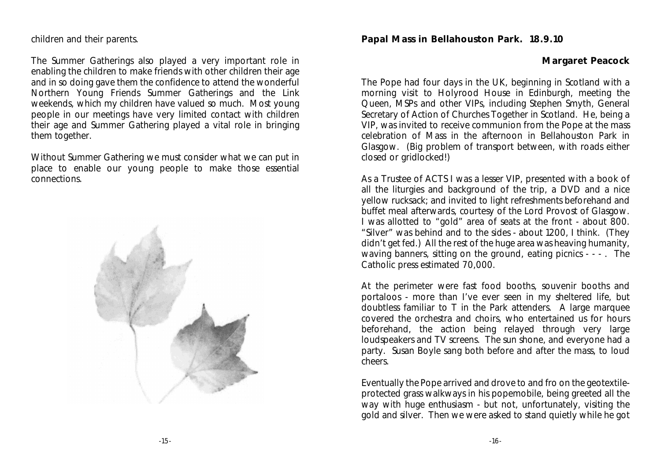#### children and their parents.

The Summer Gatherings also played a very important role in enabling the children to make friends with other children their age and in so doing gave them the confidence to attend the wonderful Northern Young Friends Summer Gatherings and the Link weekends, which my children have valued so much. Most young people in our meetings have very limited contact with children their age and Summer Gathering played a vital role in bringing them together.

Without Summer Gathering we must consider what we can put in place to enable our young people to make those essential connections.



#### **Papal Mass in Bellahouston Park. 18.9.10**

**Margaret Peacock**

The Pope had four days in the UK, beginning in Scotland with a morning visit to Holyrood House in Edinburgh, meeting the Queen, MSPs and other VIPs, including Stephen Smyth, General Secretary of Action of Churches Together in Scotland. He, being a VIP, was invited to receive communion from the Pope at the mass celebration of Mass in the afternoon in Bellahouston Park in Glasgow. (Big problem of transport between, with roads either closed or gridlocked!)

As a Trustee of ACTS I was a lesser VIP, presented with a book of all the liturgies and background of the trip, a DVD and a nice yellow rucksack; and invited to light refreshments beforehand and buffet meal afterwards, courtesy of the Lord Provost of Glasgow. I was allotted to "gold" area of seats at the front - about 800. "Silver" was behind and to the sides - about 1200, I think. (They didn't get fed.) All the rest of the huge area was heaving humanity, waving banners, sitting on the ground, eating picnics - - - . The Catholic press estimated 70,000.

At the perimeter were fast food booths, souvenir booths and portaloos - more than I've ever seen in my sheltered life, but doubtless familiar to T in the Park attenders. A large marquee covered the orchestra and choirs, who entertained us for hours beforehand, the action being relayed through very large loudspeakers and TV screens. The sun shone, and everyone had a party. Susan Boyle sang both before and after the mass, to loud cheers.

Eventually the Pope arrived and drove to and fro on the geotextileprotected grass walkways in his popemobile, being greeted all the way with huge enthusiasm - but not, unfortunately, visiting the gold and silver. Then we were asked to stand quietly while he got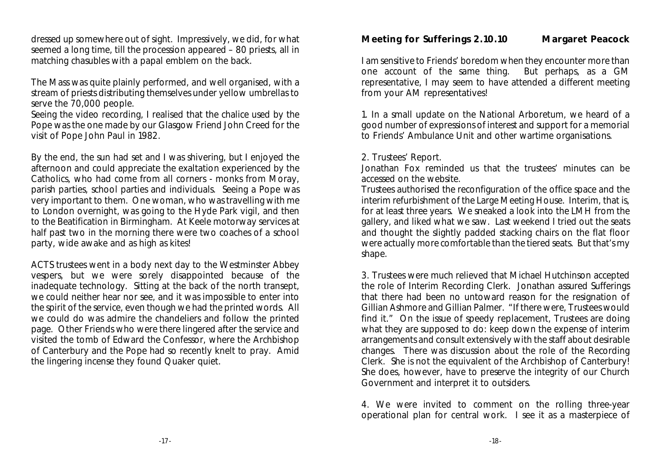dressed up somewhere out of sight. Impressively, we did, for what seemed a long time, till the procession appeared – 80 priests, all in matching chasubles with a papal emblem on the back.

The Mass was quite plainly performed, and well organised, with a stream of priests distributing themselves under yellow umbrellas to serve the 70,000 people.

Seeing the video recording, I realised that the chalice used by the Pope was the one made by our Glasgow Friend John Creed for the visit of Pope John Paul in 1982.

By the end, the sun had set and I was shivering, but I enjoyed the afternoon and could appreciate the exaltation experienced by the Catholics, who had come from all corners - monks from Moray, parish parties, school parties and individuals. Seeing a Pope was very important to them. One woman, who was travelling with me to London overnight, was going to the Hyde Park vigil, and then to the Beatification in Birmingham. At Keele motorway services at half past two in the morning there were two coaches of a school party, wide awake and as high as kites!

ACTS trustees went in a body next day to the Westminster Abbey vespers, but we were sorely disappointed because of the inadequate technology. Sitting at the back of the north transept, we could neither hear nor see, and it was impossible to enter into the spirit of the service, even though we had the printed words. All we could do was admire the chandeliers and follow the printed page. Other Friends who were there lingered after the service and visited the tomb of Edward the Confessor, where the Archbishop of Canterbury and the Pope had so recently knelt to pray. Amid the lingering incense they found Quaker quiet.

**Meeting for Sufferings 2.10.10 Margaret Peacock**

I am sensitive to Friends' boredom when they encounter more than<br>one account of the same thing. But perhaps, as a GM one account of the same thing. representative, I may seem to have attended a different meeting from your AM representatives!

1. In a small update on the National Arboretum, we heard of a good number of expressions of interest and support for a memorial to Friends' Ambulance Unit and other wartime organisations.

2. Trustees' Report.

Jonathan Fox reminded us that the trustees' minutes can be accessed on the website.

Trustees authorised the reconfiguration of the office space and the interim refurbishment of the Large Meeting House. Interim, that is, for at least three years. We sneaked a look into the LMH from the gallery, and liked what we saw. Last weekend I tried out the seats and thought the slightly padded stacking chairs on the flat floor were actually more comfortable than the tiered seats. But that's my shape.

3. Trustees were much relieved that Michael Hutchinson accepted the role of Interim Recording Clerk. Jonathan assured Sufferings that there had been no untoward reason for the resignation of Gillian Ashmore and Gillian Palmer. "If there were, Trustees would find it." On the issue of speedy replacement, Trustees are doing what they are supposed to do: keep down the expense of interim arrangements and consult extensively with the staff about desirable changes. There was discussion about the role of the Recording Clerk. She is not the equivalent of the Archbishop of Canterbury! She does, however, have to preserve the integrity of our Church Government and interpret it to outsiders.

4. We were invited to comment on the rolling three-year operational plan for central work. I see it as a masterpiece of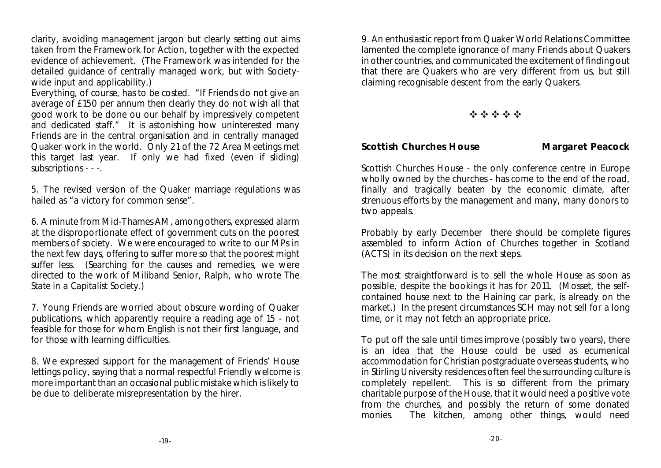clarity, avoiding management jargon but clearly setting out aims taken from the Framework for Action, together with the expected evidence of achievement. (The Framework was intended for the detailed guidance of centrally managed work, but with Societywide input and applicability.)

Everything, of course, has to be costed. "If Friends do not give an average of £150 per annum then clearly they do not wish all that good work to be done ou our behalf by impressively competent and dedicated staff." It is astonishing how uninterested many Friends are in the central organisation and in centrally managed Quaker work in the world. Only 21 of the 72 Area Meetings met this target last year. If only we had fixed (even if sliding) subscriptions - - -.

5. The revised version of the Quaker marriage regulations was hailed as "a victory for common sense".

6. A minute from Mid-Thames AM, among others, expressed alarm at the disproportionate effect of government cuts on the poorest members of society. We were encouraged to write to our MPs in the next few days, offering to suffer more so that the poorest might suffer less. (Searching for the causes and remedies, we were directed to the work of Miliband Senior, Ralph, who wrote *The State in a Capitalist Society.*)

7. Young Friends are worried about obscure wording of Quaker publications, which apparently require a reading age of 15 - not feasible for those for whom English is not their first language, and for those with learning difficulties.

8. We expressed support for the management of Friends' House lettings policy, saying that a normal respectful Friendly welcome is more important than an occasional public mistake which is likely to be due to deliberate misrepresentation by the hirer.

9. An enthusiastic report from Quaker World Relations Committee lamented the complete ignorance of many Friends about Quakers in other countries, and communicated the excitement of finding out that there are Quakers who are very different from us, but still claiming recognisable descent from the early Quakers.

f f f f f

**Scottish Churches House Margaret Peacock**

Scottish Churches House - the only conference centre in Europe wholly owned by the churches - has come to the end of the road, finally and tragically beaten by the economic climate, after strenuous efforts by the management and many, many donors to two appeals.

Probably by early December there should be complete figures assembled to inform Action of Churches together in Scotland (ACTS) in its decision on the next steps.

The most straightforward is to sell the whole House as soon as possible, despite the bookings it has for 2011. (Mosset, the selfcontained house next to the Haining car park, is already on the market.) In the present circumstances SCH may not sell for a long time, or it may not fetch an appropriate price.

To put off the sale until times improve (possibly two years), there is an idea that the House could be used as ecumenical accommodation for Christian postgraduate overseas students, who in Stirling University residences often feel the surrounding culture is completely repellent. This is so different from the primary charitable purpose of the House, that it would need a positive vote from the churches, and possibly the return of some donated monies. The kitchen, among other things, would need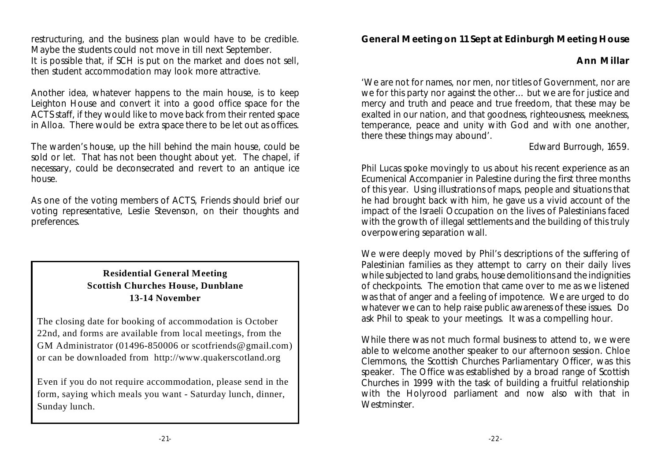restructuring, and the business plan would have to be credible. Maybe the students could not move in till next September. It is possible that, if SCH is put on the market and does not sell, then student accommodation may look more attractive.

Another idea, whatever happens to the main house, is to keep Leighton House and convert it into a good office space for the ACTS staff, if they would like to move back from their rented space in Alloa. There would be extra space there to be let out as offices.

The warden's house, up the hill behind the main house, could be sold or let. That has not been thought about yet. The chapel, if necessary, could be deconsecrated and revert to an antique ice house.

As one of the voting members of ACTS, Friends should brief our voting representative, Leslie Stevenson, on their thoughts and preferences.

#### **Residential General Meeting Scottish Churches House, Dunblane 13-14 November**

The closing date for booking of accommodation is October 22nd, and forms are available from local meetings, from the GM Administrator (01496-850006 or scotfriends@gmail.com) or can be downloaded from http://www.quakerscotland.org

Even if you do not require accommodation, please send in the form, saying which meals you want - Saturday lunch, dinner, Sunday lunch.

**General Meeting on 11 Sept at Edinburgh Meeting House**

**Ann Millar**

'We are not for names, nor men, nor titles of Government, nor are we for this party nor against the other… but we are for justice and mercy and truth and peace and true freedom, that these may be exalted in our nation, and that goodness, righteousness, meekness, temperance, peace and unity with God and with one another, there these things may abound'.

#### Edward Burrough, 1659.

Phil Lucas spoke movingly to us about his recent experience as an Ecumenical Accompanier in Palestine during the first three months of this year. Using illustrations of maps, people and situations that he had brought back with him, he gave us a vivid account of the impact of the Israeli Occupation on the lives of Palestinians faced with the growth of illegal settlements and the building of this truly overpowering separation wall.

We were deeply moved by Phil's descriptions of the suffering of Palestinian families as they attempt to carry on their daily lives while subjected to land grabs, house demolitions and the indignities of checkpoints. The emotion that came over to me as we listened was that of anger and a feeling of impotence. We are urged to do whatever we can to help raise public awareness of these issues. Do ask Phil to speak to your meetings. It was a compelling hour.

While there was not much formal business to attend to, we were able to welcome another speaker to our afternoon session. Chloe Clemmons, the Scottish Churches Parliamentary Officer, was this speaker. The Office was established by a broad range of Scottish Churches in 1999 with the task of building a fruitful relationship with the Holyrood parliament and now also with that in Westminster.